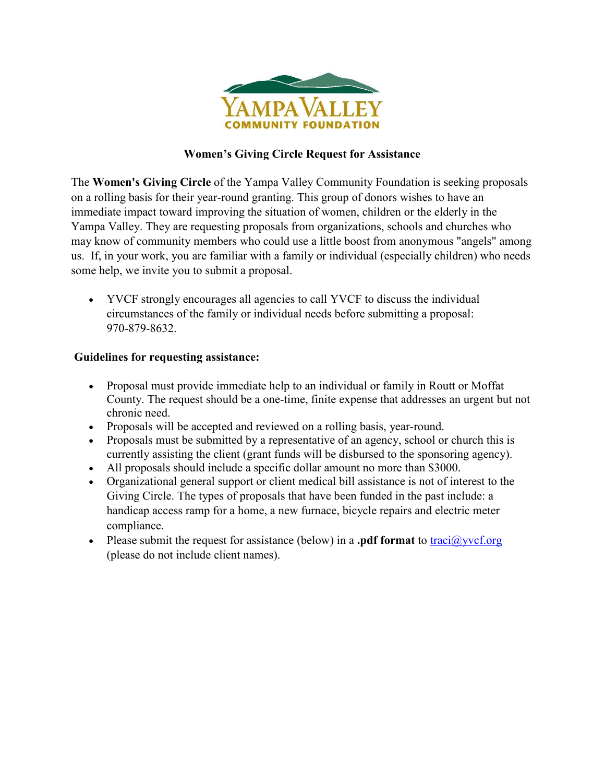

## **Women's Giving Circle Request for Assistance**

The **Women's Giving Circle** of the Yampa Valley Community Foundation is seeking proposals on a rolling basis for their year-round granting. This group of donors wishes to have an immediate impact toward improving the situation of women, children or the elderly in the Yampa Valley. They are requesting proposals from organizations, schools and churches who may know of community members who could use a little boost from anonymous "angels" among us. If, in your work, you are familiar with a family or individual (especially children) who needs some help, we invite you to submit a proposal.

 YVCF strongly encourages all agencies to call YVCF to discuss the individual circumstances of the family or individual needs before submitting a proposal: 970-879-8632.

## **Guidelines for requesting assistance:**

- Proposal must provide immediate help to an individual or family in Routt or Moffat County. The request should be a one-time, finite expense that addresses an urgent but not chronic need.
- Proposals will be accepted and reviewed on a rolling basis, year-round.
- Proposals must be submitted by a representative of an agency, school or church this is currently assisting the client (grant funds will be disbursed to the sponsoring agency).
- All proposals should include a specific dollar amount no more than \$3000.
- Organizational general support or client medical bill assistance is not of interest to the Giving Circle. The types of proposals that have been funded in the past include: a handicap access ramp for a home, a new furnace, bicycle repairs and electric meter compliance.
- Please submit the request for assistance (below) in a **.pdf format** to traci $\left(\frac{\partial y}{\partial x}\right)$ (please do not include client names).